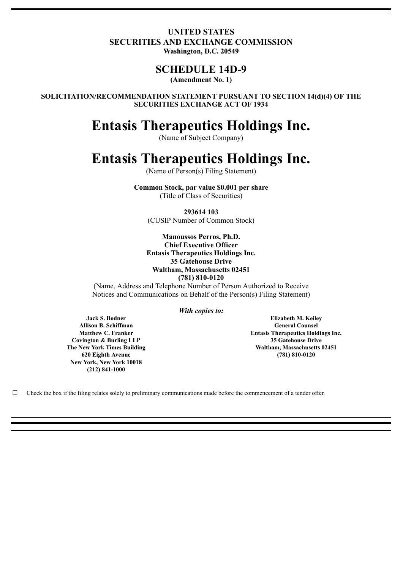## **UNITED STATES SECURITIES AND EXCHANGE COMMISSION Washington, D.C. 20549**

# **SCHEDULE 14D-9**

**(Amendment No. 1)**

**SOLICITATION/RECOMMENDATION STATEMENT PURSUANT TO SECTION 14(d)(4) OF THE SECURITIES EXCHANGE ACT OF 1934**

# **Entasis Therapeutics Holdings Inc.**

(Name of Subject Company)

# **Entasis Therapeutics Holdings Inc.**

(Name of Person(s) Filing Statement)

**Common Stock, par value \$0.001 per share** (Title of Class of Securities)

**293614 103** (CUSIP Number of Common Stock)

#### **Manoussos Perros, Ph.D. Chief Executive Officer Entasis Therapeutics Holdings Inc. 35 Gatehouse Drive Waltham, Massachusetts 02451 (781) 810-0120**

(Name, Address and Telephone Number of Person Authorized to Receive Notices and Communications on Behalf of the Person(s) Filing Statement)

*With copies to:*

**Jack S. Bodner Allison B. Schiffman Matthew C. Franker Covington & Burling LLP The New York Times Building 620 Eighth Avenue New York, New York 10018 (212) 841-1000**

**Elizabeth M. Keiley General Counsel Entasis Therapeutics Holdings Inc. 35 Gatehouse Drive Waltham, Massachusetts 02451 (781) 810-0120**

 $\Box$  Check the box if the filing relates solely to preliminary communications made before the commencement of a tender offer.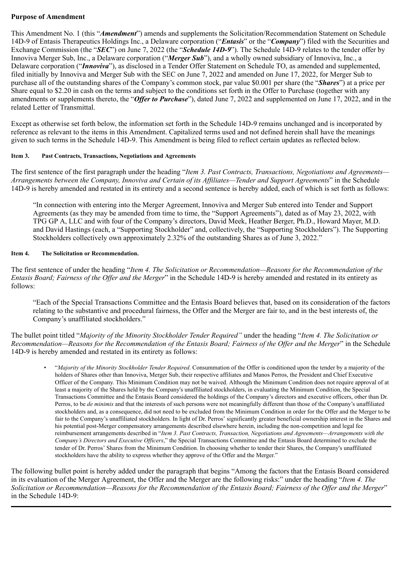#### **Purpose of Amendment**

This Amendment No. 1 (this "*Amendment*") amends and supplements the Solicitation/Recommendation Statement on Schedule 14D-9 of Entasis Therapeutics Holdings Inc., a Delaware corporation ("*Entasis*" or the "*Company*") filed with the Securities and Exchange Commission (the "*SEC*") on June 7, 2022 (the "*Schedule 14D-9*"). The Schedule 14D-9 relates to the tender offer by Innoviva Merger Sub, Inc., a Delaware corporation ("*Merger Sub*"), and a wholly owned subsidiary of Innoviva, Inc., a Delaware corporation ("*Innoviva*"), as disclosed in a Tender Offer Statement on Schedule TO, as amended and supplemented, filed initially by Innoviva and Merger Sub with the SEC on June 7, 2022 and amended on June 17, 2022, for Merger Sub to purchase all of the outstanding shares of the Company's common stock, par value \$0.001 per share (the "*Shares*") at a price per Share equal to \$2.20 in cash on the terms and subject to the conditions set forth in the Offer to Purchase (together with any amendments or supplements thereto, the "*Offer to Purchase*"), dated June 7, 2022 and supplemented on June 17, 2022, and in the related Letter of Transmittal.

Except as otherwise set forth below, the information set forth in the Schedule 14D-9 remains unchanged and is incorporated by reference as relevant to the items in this Amendment. Capitalized terms used and not defined herein shall have the meanings given to such terms in the Schedule 14D-9. This Amendment is being filed to reflect certain updates as reflected below.

#### **Item 3. Past Contracts, Transactions, Negotiations and Agreements**

The first sentence of the first paragraph under the heading "*Item 3. Past Contracts, Transactions, Negotiations and Agreements— Arrangements between the Company, Innoviva and Certain of its Affiliates—Tender and Support Agreements*" in the Schedule 14D-9 is hereby amended and restated in its entirety and a second sentence is hereby added, each of which is set forth as follows:

"In connection with entering into the Merger Agreement, Innoviva and Merger Sub entered into Tender and Support Agreements (as they may be amended from time to time, the "Support Agreements"), dated as of May 23, 2022, with TPG GP A, LLC and with four of the Company's directors, David Meek, Heather Berger, Ph.D., Howard Mayer, M.D. and David Hastings (each, a "Supporting Stockholder" and, collectively, the "Supporting Stockholders"). The Supporting Stockholders collectively own approximately 2.32% of the outstanding Shares as of June 3, 2022."

#### **Item 4. The Solicitation or Recommendation.**

The first sentence of under the heading "*Item 4. The Solicitation or Recommendation—Reasons for the Recommendation of the Entasis Board; Fairness of the Offer and the Merger*" in the Schedule 14D-9 is hereby amended and restated in its entirety as follows:

"Each of the Special Transactions Committee and the Entasis Board believes that, based on its consideration of the factors relating to the substantive and procedural fairness, the Offer and the Merger are fair to, and in the best interests of, the Company's unaffiliated stockholders."

The bullet point titled "*Majority of the Minority Stockholder Tender Required"* under the heading "*Item 4. The Solicitation or Recommendation—Reasons for the Recommendation of the Entasis Board; Fairness of the Offer and the Merger*" in the Schedule 14D-9 is hereby amended and restated in its entirety as follows:

• "*Majority of the Minority Stockholder Tender Required*. Consummation of the Offer is conditioned upon the tender by a majority of the holders of Shares other than Innoviva, Merger Sub, their respective affiliates and Manos Perros, the President and Chief Executive Officer of the Company. This Minimum Condition may not be waived. Although the Minimum Condition does not require approval of at least a majority of the Shares held by the Company's unaffiliated stockholders, in evaluating the Minimum Condition, the Special Transactions Committee and the Entasis Board considered the holdings of the Company's directors and executive officers, other than Dr. Perros, to be *de minimis* and that the interests of such persons were not meaningfully different than those of the Company's unaffiliated stockholders and, as a consequence, did not need to be excluded from the Minimum Condition in order for the Offer and the Merger to be fair to the Company's unaffiliated stockholders. In light of Dr. Perros' significantly greater beneficial ownership interest in the Shares and his potential post-Merger compensatory arrangements described elsewhere herein, including the non-competition and legal fee reimbursement arrangements described in "*Item 3. Past Contracts, Transaction, Negotiations and Agreements—Arrangements with the Company's Directors and Executive Of icers*," the Special Transactions Committee and the Entasis Board determined to exclude the tender of Dr. Perros' Shares from the Minimum Condition. In choosing whether to tender their Shares, the Company's unaffiliated stockholders have the ability to express whether they approve of the Offer and the Merger."

The following bullet point is hereby added under the paragraph that begins "Among the factors that the Entasis Board considered in its evaluation of the Merger Agreement, the Offer and the Merger are the following risks:" under the heading "*Item 4. The Solicitation or Recommendation—Reasons for the Recommendation of the Entasis Board; Fairness of the Offer and the Merger*" in the Schedule 14D-9: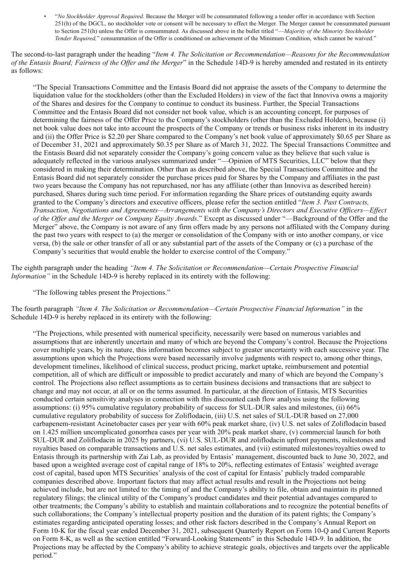• "*No Stockholder Approval Required*. Because the Merger will be consummated following a tender offer in accordance with Section 251(h) of the DGCL, no stockholder vote or consent will be necessary to effect the Merger. The Merger cannot be consummated pursuant to Section 251(h) unless the Offer is consummated. As discussed above in the bullet titled "—*Majority of the Minority Stockholder Tender Required,*" consummation of the Offer is conditioned on achievement of the Minimum Condition, which cannot be waived."

The second-to-last paragraph under the heading "*Item 4. The Solicitation or Recommendation—Reasons for the Recommendation of the Entasis Board; Fairness of the Offer and the Merger*" in the Schedule 14D-9 is hereby amended and restated in its entirety as follows:

"The Special Transactions Committee and the Entasis Board did not appraise the assets of the Company to determine the liquidation value for the stockholders (other than the Excluded Holders) in view of the fact that Innoviva owns a majority of the Shares and desires for the Company to continue to conduct its business. Further, the Special Transactions Committee and the Entasis Board did not consider net book value, which is an accounting concept, for purposes of determining the fairness of the Offer Price to the Company's stockholders (other than the Excluded Holders), because (i) net book value does not take into account the prospects of the Company or trends or business risks inherent in its industry and (ii) the Offer Price is \$2.20 per Share compared to the Company's net book value of approximately \$0.65 per Share as of December 31, 2021 and approximately \$0.35 per Share as of March 31, 2022. The Special Transactions Committee and the Entasis Board did not separately consider the Company's going concern value as they believe that such value is adequately reflected in the various analyses summarized under "—Opinion of MTS Securities, LLC" below that they considered in making their determination. Other than as described above, the Special Transactions Committee and the Entasis Board did not separately consider the purchase prices paid for Shares by the Company and affiliates in the past two years because the Company has not repurchased, nor has any affiliate (other than Innoviva as described herein) purchased, Shares during such time period. For information regarding the Share prices of outstanding equity awards granted to the Company's directors and executive officers, please refer the section entitled "*Item 3. Past Contracts, Transaction, Negotiations and Agreements—Arrangements with the Company's Directors and Executive Officers—Effect of the Offer and the Merger on Company Equity Awards*." Except as discussed under "—Background of the Offer and the Merger" above, the Company is not aware of any firm offers made by any persons not affiliated with the Company during the past two years with respect to (a) the merger or consolidation of the Company with or into another company, or vice versa, (b) the sale or other transfer of all or any substantial part of the assets of the Company or (c) a purchase of the Company's securities that would enable the holder to exercise control of the Company."

The eighth paragraph under the heading *"Item 4. The Solicitation or Recommendation—Certain Prospective Financial Information"* in the Schedule 14D-9 is hereby replaced in its entirety with the following:

"The following tables present the Projections."

The fourth paragraph *"Item 4. The Solicitation or Recommendation—Certain Prospective Financial Information"* in the Schedule 14D-9 is hereby replaced in its entirety with the following:

"The Projections, while presented with numerical specificity, necessarily were based on numerous variables and assumptions that are inherently uncertain and many of which are beyond the Company's control. Because the Projections cover multiple years, by its nature, this information becomes subject to greater uncertainty with each successive year. The assumptions upon which the Projections were based necessarily involve judgments with respect to, among other things, development timelines, likelihood of clinical success, product pricing, market uptake, reimbursement and potential competition, all of which are difficult or impossible to predict accurately and many of which are beyond the Company's control. The Projections also reflect assumptions as to certain business decisions and transactions that are subject to change and may not occur, at all or on the terms assumed. In particular, at the direction of Entasis, MTS Securities conducted certain sensitivity analyses in connection with this discounted cash flow analysis using the following assumptions: (i) 95% cumulative regulatory probability of success for SUL-DUR sales and milestones, (ii) 66% cumulative regulatory probability of success for Zoliflodacin, (iii) U.S. net sales of SUL-DUR based on 27,000 carbapenem-resistant Acinetobacter cases per year with 60% peak market share, (iv) U.S. net sales of Zoliflodacin based on 1.425 million uncomplicated gonorrhea cases per year with 20% peak market share, (v) commercial launch for both SUL-DUR and Zoliflodacin in 2025 by partners, (vi) U.S. SUL-DUR and zoliflodacin upfront payments, milestones and royalties based on comparable transactions and U.S. net sales estimates, and (vii) estimated milestones/royalties owed to Entasis through its partnership with Zai Lab, as provided by Entasis' management, discounted back to June 30, 2022, and based upon a weighted average cost of capital range of 18% to 20%, reflecting estimates of Entasis' weighted average cost of capital, based upon MTS Securities' analysis of the cost of capital for Entasis' publicly traded comparable companies described above. Important factors that may affect actual results and result in the Projections not being achieved include, but are not limited to: the timing of and the Company's ability to file, obtain and maintain its planned regulatory filings; the clinical utility of the Company's product candidates and their potential advantages compared to other treatments; the Company's ability to establish and maintain collaborations and to recognize the potential benefits of such collaborations; the Company's intellectual property position and the duration of its patent rights; the Company's estimates regarding anticipated operating losses; and other risk factors described in the Company's Annual Report on Form 10-K for the fiscal year ended December 31, 2021, subsequent Quarterly Report on Form 10-Q and Current Reports on Form 8-K, as well as the section entitled "Forward-Looking Statements" in this Schedule 14D-9. In addition, the Projections may be affected by the Company's ability to achieve strategic goals, objectives and targets over the applicable period."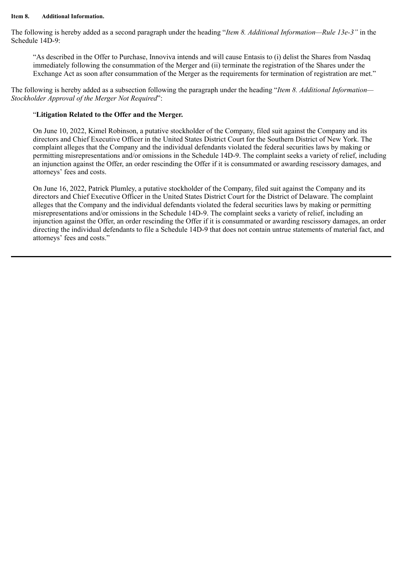#### **Item 8. Additional Information.**

The following is hereby added as a second paragraph under the heading "*Item 8. Additional Information—Rule 13e-3"* in the Schedule 14D-9:

"As described in the Offer to Purchase, Innoviva intends and will cause Entasis to (i) delist the Shares from Nasdaq immediately following the consummation of the Merger and (ii) terminate the registration of the Shares under the Exchange Act as soon after consummation of the Merger as the requirements for termination of registration are met."

The following is hereby added as a subsection following the paragraph under the heading "*Item 8. Additional Information— Stockholder Approval of the Merger Not Required*":

#### "**Litigation Related to the Offer and the Merger.**

On June 10, 2022, Kimel Robinson, a putative stockholder of the Company, filed suit against the Company and its directors and Chief Executive Officer in the United States District Court for the Southern District of New York. The complaint alleges that the Company and the individual defendants violated the federal securities laws by making or permitting misrepresentations and/or omissions in the Schedule 14D-9. The complaint seeks a variety of relief, including an injunction against the Offer, an order rescinding the Offer if it is consummated or awarding rescissory damages, and attorneys' fees and costs.

On June 16, 2022, Patrick Plumley, a putative stockholder of the Company, filed suit against the Company and its directors and Chief Executive Officer in the United States District Court for the District of Delaware. The complaint alleges that the Company and the individual defendants violated the federal securities laws by making or permitting misrepresentations and/or omissions in the Schedule 14D-9. The complaint seeks a variety of relief, including an injunction against the Offer, an order rescinding the Offer if it is consummated or awarding rescissory damages, an order directing the individual defendants to file a Schedule 14D-9 that does not contain untrue statements of material fact, and attorneys' fees and costs."